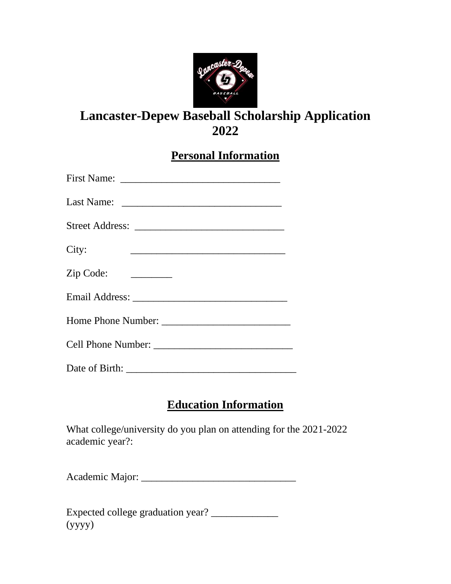

# **Lancaster-Depew Baseball Scholarship Application 2022**

**Personal Information**

| City:     |  |  |
|-----------|--|--|
| Zip Code: |  |  |
|           |  |  |
|           |  |  |
|           |  |  |
|           |  |  |

# **Education Information**

What college/university do you plan on attending for the 2021-2022 academic year?:

Academic Major: \_\_\_\_\_\_\_\_\_\_\_\_\_\_\_\_\_\_\_\_\_\_\_\_\_\_\_\_\_\_

Expected college graduation year? \_\_\_\_\_\_\_\_\_\_\_\_\_ (yyyy)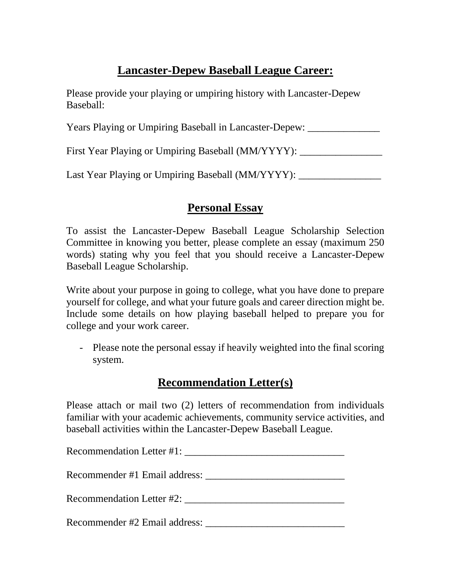# **Lancaster-Depew Baseball League Career:**

Please provide your playing or umpiring history with Lancaster-Depew Baseball:

Years Playing or Umpiring Baseball in Lancaster-Depew:

First Year Playing or Umpiring Baseball (MM/YYYY):

Last Year Playing or Umpiring Baseball (MM/YYYY):

## **Personal Essay**

To assist the Lancaster-Depew Baseball League Scholarship Selection Committee in knowing you better, please complete an essay (maximum 250 words) stating why you feel that you should receive a Lancaster-Depew Baseball League Scholarship.

Write about your purpose in going to college, what you have done to prepare yourself for college, and what your future goals and career direction might be. Include some details on how playing baseball helped to prepare you for college and your work career.

- Please note the personal essay if heavily weighted into the final scoring system.

#### **Recommendation Letter(s)**

Please attach or mail two (2) letters of recommendation from individuals familiar with your academic achievements, community service activities, and baseball activities within the Lancaster-Depew Baseball League.

| Recommendation Letter #1:     |
|-------------------------------|
|                               |
| Recommendation Letter #2:     |
| Recommender #2 Email address: |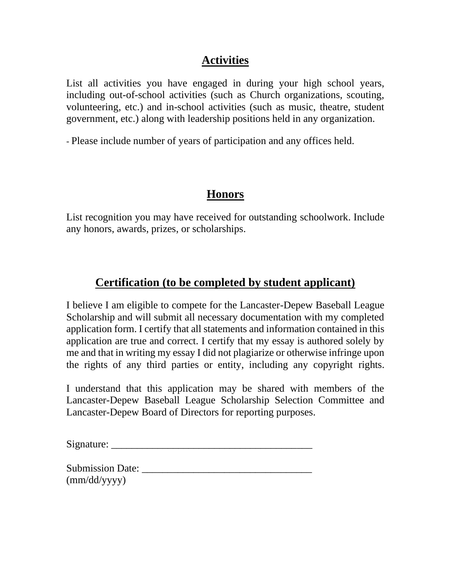## **Activities**

List all activities you have engaged in during your high school years, including out-of-school activities (such as Church organizations, scouting, volunteering, etc.) and in-school activities (such as music, theatre, student government, etc.) along with leadership positions held in any organization.

- Please include number of years of participation and any offices held.

## **Honors**

List recognition you may have received for outstanding schoolwork. Include any honors, awards, prizes, or scholarships.

## **Certification (to be completed by student applicant)**

I believe I am eligible to compete for the Lancaster-Depew Baseball League Scholarship and will submit all necessary documentation with my completed application form. I certify that all statements and information contained in this application are true and correct. I certify that my essay is authored solely by me and that in writing my essay I did not plagiarize or otherwise infringe upon the rights of any third parties or entity, including any copyright rights.

I understand that this application may be shared with members of the Lancaster-Depew Baseball League Scholarship Selection Committee and Lancaster-Depew Board of Directors for reporting purposes.

Signature:

| <b>Submission Date:</b> |  |
|-------------------------|--|
| $\text{(mm/dd/yyyy)}$   |  |